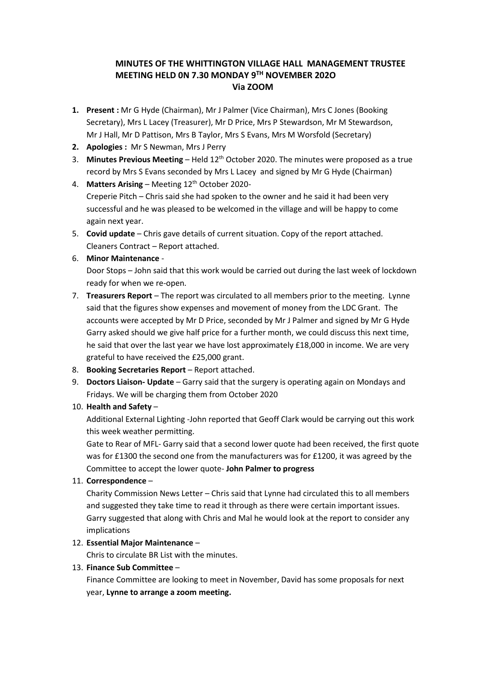# **MINUTES OF THE WHITTINGTON VILLAGE HALL MANAGEMENT TRUSTEE MEETING HELD 0N 7.30 MONDAY 9TH NOVEMBER 202O Via ZOOM**

- **1. Present :** Mr G Hyde (Chairman), Mr J Palmer (Vice Chairman), Mrs C Jones (Booking Secretary), Mrs L Lacey (Treasurer), Mr D Price, Mrs P Stewardson, Mr M Stewardson, Mr J Hall, Mr D Pattison, Mrs B Taylor, Mrs S Evans, Mrs M Worsfold (Secretary)
- **2. Apologies :** Mr S Newman, Mrs J Perry
- 3. **Minutes Previous Meeting** Held 12th October 2020. The minutes were proposed as a true record by Mrs S Evans seconded by Mrs L Lacey and signed by Mr G Hyde (Chairman)
- 4. **Matters Arising** Meeting 12 th October 2020- Creperie Pitch – Chris said she had spoken to the owner and he said it had been very successful and he was pleased to be welcomed in the village and will be happy to come again next year.
- 5. **Covid update** Chris gave details of current situation. Copy of the report attached. Cleaners Contract – Report attached.

#### 6. **Minor Maintenance** -

Door Stops – John said that this work would be carried out during the last week of lockdown ready for when we re-open.

- 7. **Treasurers Report** The report was circulated to all members prior to the meeting. Lynne said that the figures show expenses and movement of money from the LDC Grant. The accounts were accepted by Mr D Price, seconded by Mr J Palmer and signed by Mr G Hyde Garry asked should we give half price for a further month, we could discuss this next time, he said that over the last year we have lost approximately £18,000 in income. We are very grateful to have received the £25,000 grant.
- 8. **Booking Secretaries Report** Report attached.
- 9. **Doctors Liaison- Update** Garry said that the surgery is operating again on Mondays and Fridays. We will be charging them from October 2020

## 10. **Health and Safety** –

Additional External Lighting -John reported that Geoff Clark would be carrying out this work this week weather permitting.

Gate to Rear of MFL- Garry said that a second lower quote had been received, the first quote was for £1300 the second one from the manufacturers was for £1200, it was agreed by the Committee to accept the lower quote- **John Palmer to progress**

#### 11. **Correspondence** –

Charity Commission News Letter – Chris said that Lynne had circulated this to all members and suggested they take time to read it through as there were certain important issues. Garry suggested that along with Chris and Mal he would look at the report to consider any implications

#### 12. **Essential Major Maintenance** –

Chris to circulate BR List with the minutes.

#### 13. **Finance Sub Committee** –

Finance Committee are looking to meet in November, David has some proposals for next year, **Lynne to arrange a zoom meeting.**